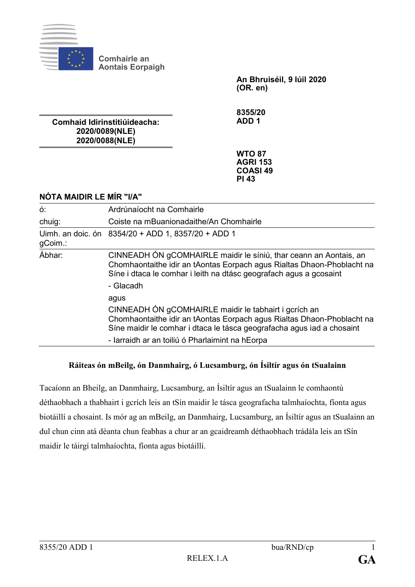

**Comhairle an Aontais Eorpaigh**

> **An Bhruiséil, 9 Iúil 2020 (OR. en)**

**Comhaid Idirinstitiúideacha: 2020/0089(NLE) 2020/0088(NLE)**

**8355/20 ADD 1**

**WTO 87 AGRI 153 COASI 49 PI 43**

## **NÓTA MAIDIR LE MÍR "I/A"**

| Ó.      | Ardrúnaíocht na Comhairle                                                                                                                                                                                                      |
|---------|--------------------------------------------------------------------------------------------------------------------------------------------------------------------------------------------------------------------------------|
| chuig:  | Coiste na mBuanionadaithe/An Chomhairle                                                                                                                                                                                        |
| gCoim.: | Uimh. an doic. ón 8354/20 + ADD 1, 8357/20 + ADD 1                                                                                                                                                                             |
| Ábhar:  | CINNEADH ÓN gCOMHAIRLE maidir le síniú, thar ceann an Aontais, an<br>Chomhaontaithe idir an tAontas Eorpach agus Rialtas Dhaon-Phoblacht na<br>Síne i dtaca le comhar i leith na dtásc geografach agus a gcosaint<br>- Glacadh |
|         | agus<br>CINNEADH ÓN gCOMHAIRLE maidir le tabhairt i gcrích an<br>Chomhaontaithe idir an tAontas Eorpach agus Rialtas Dhaon-Phoblacht na<br>Síne maidir le comhar i dtaca le tásca geografacha agus iad a chosaint              |
|         | - Iarraidh ar an toiliú ó Pharlaimint na hEorpa                                                                                                                                                                                |

## **Ráiteas ón mBeilg, ón Danmhairg, ó Lucsamburg, ón Ísiltír agus ón tSualainn**

Tacaíonn an Bheilg, an Danmhairg, Lucsamburg, an Ísiltír agus an tSualainn le comhaontú déthaobhach a thabhairt i gcrích leis an tSín maidir le tásca geografacha talmhaíochta, fíonta agus biotáillí a chosaint. Is mór ag an mBeilg, an Danmhairg, Lucsamburg, an Ísiltír agus an tSualainn an dul chun cinn atá déanta chun feabhas a chur ar an gcaidreamh déthaobhach trádála leis an tSín maidir le táirgí talmhaíochta, fíonta agus biotáillí.